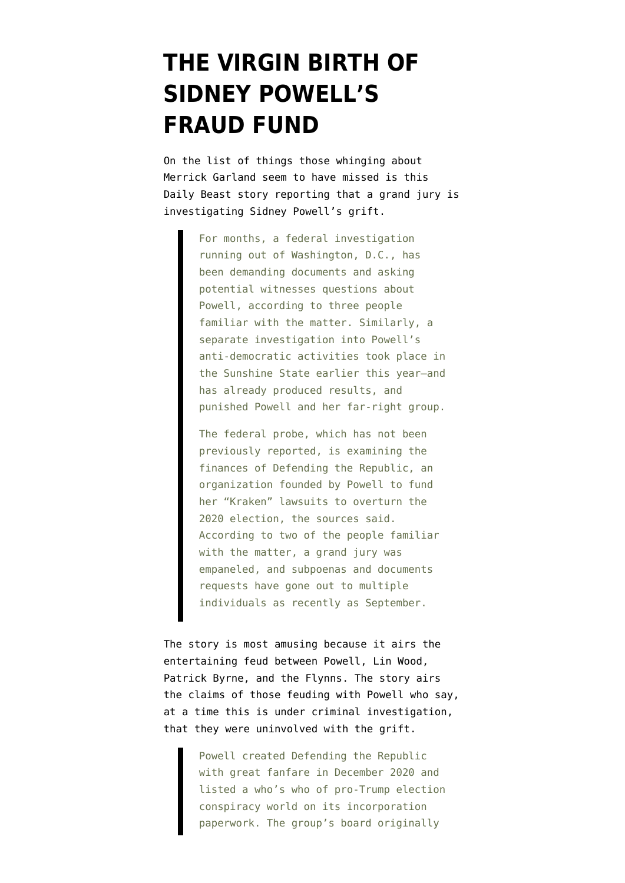## **[THE VIRGIN BIRTH OF](https://www.emptywheel.net/2021/12/13/the-virgin-birth-of-sidney-powells-fraud-fund/) [SIDNEY POWELL'S](https://www.emptywheel.net/2021/12/13/the-virgin-birth-of-sidney-powells-fraud-fund/) [FRAUD FUND](https://www.emptywheel.net/2021/12/13/the-virgin-birth-of-sidney-powells-fraud-fund/)**

On the list of things [those whinging about](https://www.emptywheel.net/2021/12/03/ten-things-tv-lawyers-can-do-rather-than-whinging-about-merrick-garland) [Merrick Garland](https://www.emptywheel.net/2021/12/03/ten-things-tv-lawyers-can-do-rather-than-whinging-about-merrick-garland) seem to have missed is [this](https://www.thedailybeast.com/feds-are-asking-questions-about-sidney-powell-and-her-pro-trump-group) [Daily Beast story](https://www.thedailybeast.com/feds-are-asking-questions-about-sidney-powell-and-her-pro-trump-group) reporting that a grand jury is investigating Sidney Powell's grift.

> For months, a federal investigation running out of Washington, D.C., has been demanding documents and asking potential witnesses questions about Powell, according to three people familiar with the matter. Similarly, a separate investigation into Powell's anti-democratic activities took place in the Sunshine State earlier this year—and has already produced results, and punished Powell and her far-right group.

The federal probe, which has not been previously reported, is examining the finances of Defending the Republic, an organization founded by Powell to fund her "Kraken" lawsuits to overturn the 2020 election, the sources said. According to two of the people familiar with the matter, a grand jury was empaneled, and subpoenas and documents requests have gone out to multiple individuals as recently as September.

The story is most amusing because it airs the entertaining feud between Powell, Lin Wood, Patrick Byrne, and the Flynns. The story airs the claims of those feuding with Powell who say, at a time this is under criminal investigation, that they were uninvolved with the grift.

> Powell created Defending the Republic with great fanfare in December 2020 and listed a who's who of pro-Trump election conspiracy world on its incorporation paperwork. The group's board originally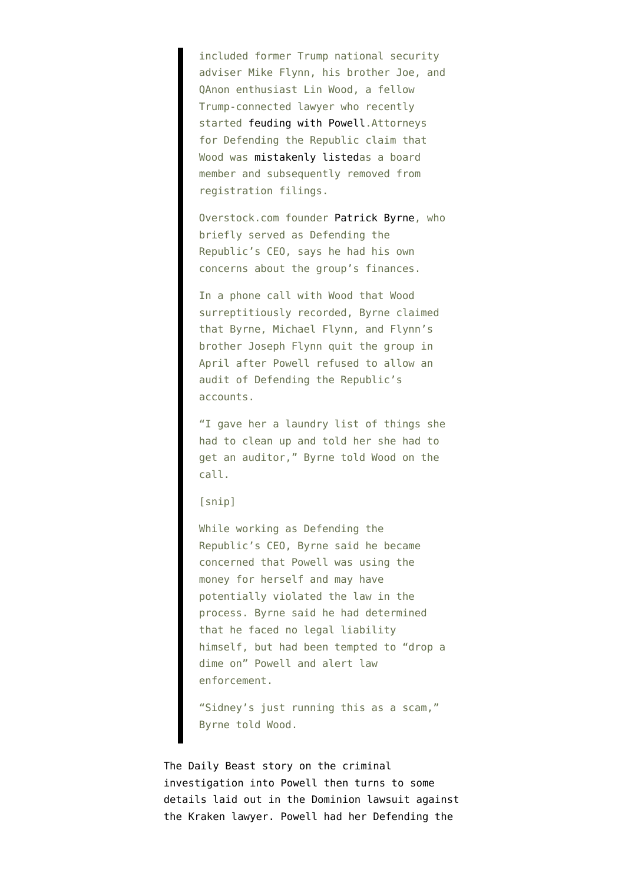included former Trump national security adviser Mike Flynn, his brother Joe, and QAnon enthusiast Lin Wood, a fellow Trump-connected lawyer who recently started [feuding with Powell](https://www.thedailybeast.com/lin-wood-sidney-powell-and-michael-flynn-trumpist-election-deniers-descend-into-high-school-drama).Attorneys for Defending the Republic claim that Wood was [mistakenly listed](https://www.courts.state.co.us/userfiles/file/Court_Probation/02nd_Judicial_District/Denver_District_Court/Cases%20of%20Interest/20CV34319/001/2021-09-17%2019-56-42%20EXHIBIT%20L-1%20%20Defending%20the%20Republic%20Depo%20and%20Exhibits%2008-04-21.pdf)as a board member and subsequently removed from registration filings.

Overstock.com founder [Patrick Byrne](https://www.thedailybeast.com/ex-overstock-ceo-says-hes-put-together-an-army-of-various-odd-people-to-save-trump), who briefly served as Defending the Republic's CEO, says he had his own concerns about the group's finances.

In a phone call with Wood that Wood surreptitiously recorded, Byrne claimed that Byrne, Michael Flynn, and Flynn's brother Joseph Flynn quit the group in April after Powell refused to allow an audit of Defending the Republic's accounts.

"I gave her a laundry list of things she had to clean up and told her she had to get an auditor," Byrne told Wood on the call.

## [snip]

While working as Defending the Republic's CEO, Byrne said he became concerned that Powell was using the money for herself and may have potentially violated the law in the process. Byrne said he had determined that he faced no legal liability himself, but had been tempted to "drop a dime on" Powell and alert law enforcement.

"Sidney's just running this as a scam," Byrne told Wood.

The Daily Beast story on the criminal investigation into Powell then turns to some details [laid out](https://storage.courtlistener.com/recap/gov.uscourts.dcd.225699/gov.uscourts.dcd.225699.1.0_17.pdf) in the Dominion lawsuit against the Kraken lawyer. Powell had her Defending the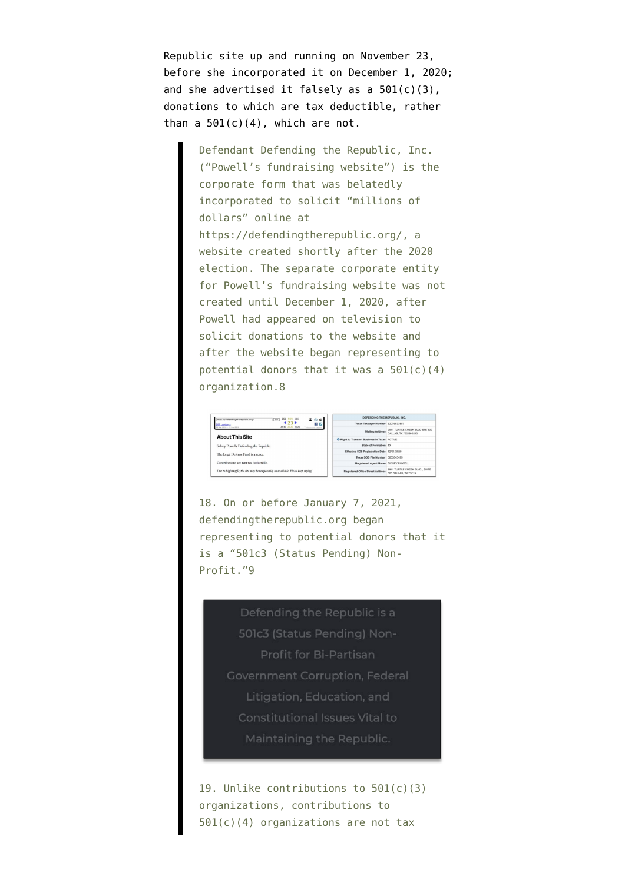Republic site up and running on November 23, before she incorporated it on December 1, 2020; and she advertised it falsely as a  $501(c)(3)$ , donations to which are tax deductible, rather than a  $501(c)(4)$ , which are not.

> Defendant Defending the Republic, Inc. ("Powell's fundraising website") is the corporate form that was belatedly incorporated to solicit "millions of dollars" online at https://defendingtherepublic.org/, a website created shortly after the 2020 election. The separate corporate entity for Powell's fundraising website was not created until December 1, 2020, after Powell had appeared on television to solicit donations to the website and after the website began representing to potential donors that it was a  $501(c)(4)$ organization.8



18. On or before January 7, 2021, defendingtherepublic.org began representing to potential donors that it is a "501c3 (Status Pending) Non-Profit."9

> Defending the Republic is a 501c3 (Status Pending) Non-Profit for Bi-Partisan Government Corruption, Federal Litigation, Education, and **Constitutional Issues Vital to** Maintaining the Republic.

19. Unlike contributions to 501(c)(3) organizations, contributions to 501(c)(4) organizations are not tax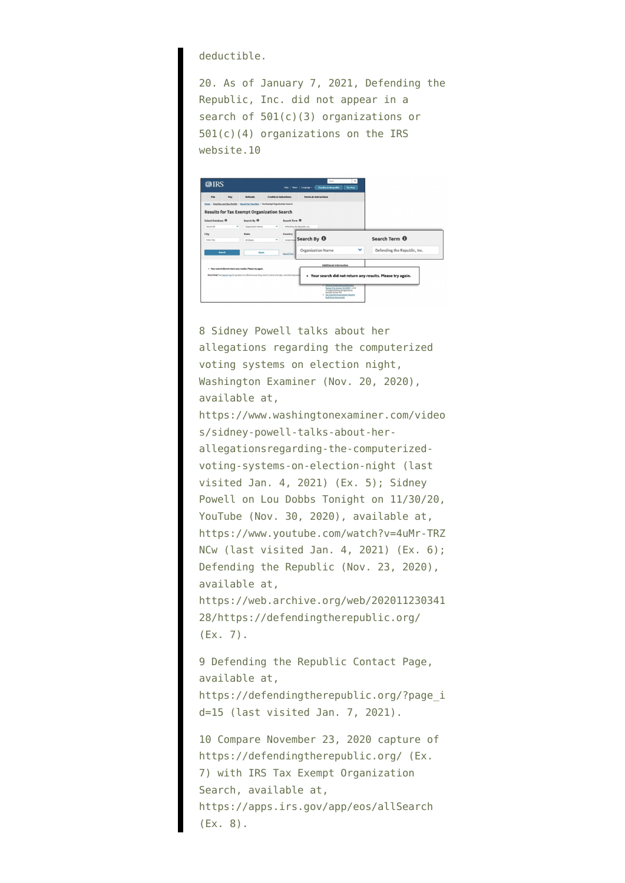deductible.

20. As of January 7, 2021, Defending the Republic, Inc. did not appear in a search of 501(c)(3) organizations or 501(c)(4) organizations on the IRS website.10



8 Sidney Powell talks about her allegations regarding the computerized voting systems on election night, Washington Examiner (Nov. 20, 2020), available at, https://www.washingtonexaminer.com/video s/sidney-powell-talks-about-herallegationsregarding-the-computerizedvoting-systems-on-election-night (last visited Jan. 4, 2021) (Ex. 5); Sidney Powell on Lou Dobbs Tonight on 11/30/20, YouTube (Nov. 30, 2020), available at, https://www.youtube.com/watch?v=4uMr-TRZ NCw (last visited Jan. 4, 2021) (Ex. 6); Defending the Republic (Nov. 23, 2020), available at, https://web.archive.org/web/202011230341 28/https://defendingtherepublic.org/ (Ex. 7).

9 Defending the Republic Contact Page, available at, https://defendingtherepublic.org/?page\_i d=15 (last visited Jan. 7, 2021).

10 Compare November 23, 2020 capture of https://defendingtherepublic.org/ (Ex. 7) with IRS Tax Exempt Organization Search, available at, https://apps.irs.gov/app/eos/allSearch (Ex. 8).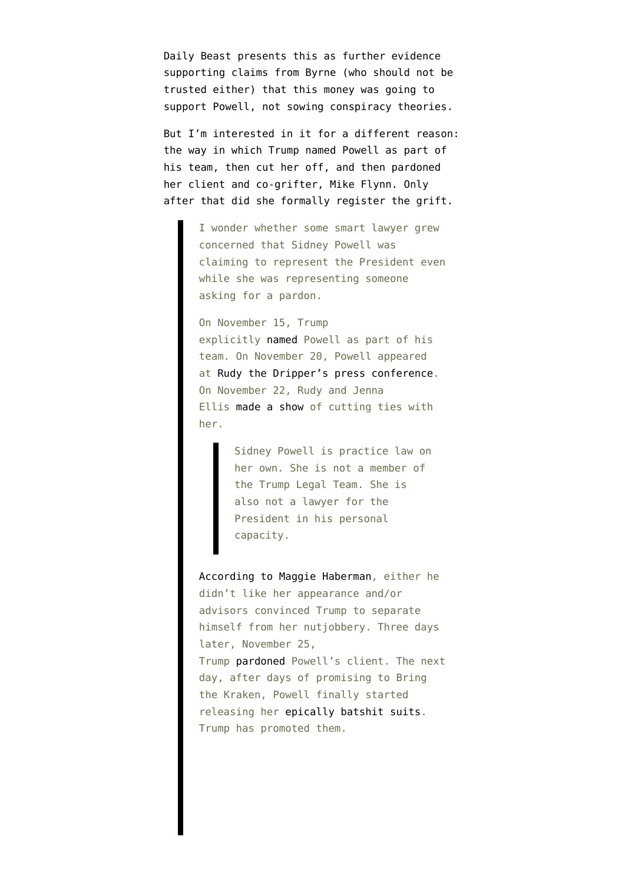Daily Beast presents this as further evidence supporting claims from Byrne (who should not be trusted either) that this money was going to support Powell, not sowing conspiracy theories.

But I'm interested in it for a different reason: the way in which Trump named Powell as part of his team, [then cut her off,](https://www.emptywheel.net/2020/11/27/kraken-clemency-did-trump-issue-the-flynn-pardon-wednesday-to-avoid-potential-conflict-with-sidney-powells-batshittery/) and then pardoned her client and co-grifter, Mike Flynn. Only after that did she formally register the grift.

> I wonder whether some smart lawyer grew concerned that Sidney Powell was claiming to represent the President even while she was representing someone asking for a pardon.

On November 15, Trump explicitly [named](https://twitter.com/realDonaldTrump/status/1327811527123103746?ref_src=twsrc%5Etfw%7Ctwcamp%5Etweetembed%7Ctwterm%5E1327811527123103746%7Ctwgr%5E%7Ctwcon%5Es1_&ref_url=https%3A%2F%2Fwww.thetrumparchive.com%2F%3Fsearchbox%3D22powell22) Powell as part of his team. On November 20, Powell appeared at [Rudy the Dripper's press conference.](https://www.emptywheel.net/2020/11/20/rudy-the-dripper-the-vicious-cycle-of-dead-ender-propagandists-feeding-bullshit-to-tribalist-republicans/) On November 22, Rudy and Jenna Ellis [made a show](https://twitter.com/JennaEllisEsq/status/1330638034619035655?s=20) of cutting ties with her.

> Sidney Powell is practice law on her own. She is not a member of the Trump Legal Team. She is also not a lawyer for the President in his personal capacity.

[According to Maggie Haberman](https://www.nytimes.com/2020/11/22/us/politics/sidney-powell-trump.html), either he didn't like her appearance and/or advisors convinced Trump to separate himself from her nutjobbery. Three days later, November 25, Trump [pardoned](https://www.emptywheel.net/2020/11/25/trump-prepares-to-pardon-an-undisclosed-agent-of-turkey-as-well-as-a-thanksgiving-bird/) Powell's client. The next day, after days of promising to Bring the Kraken, Powell finally started releasing her [epically batshit suits.](https://twitter.com/questauthority/status/1331968615713824772) Trump has promoted them.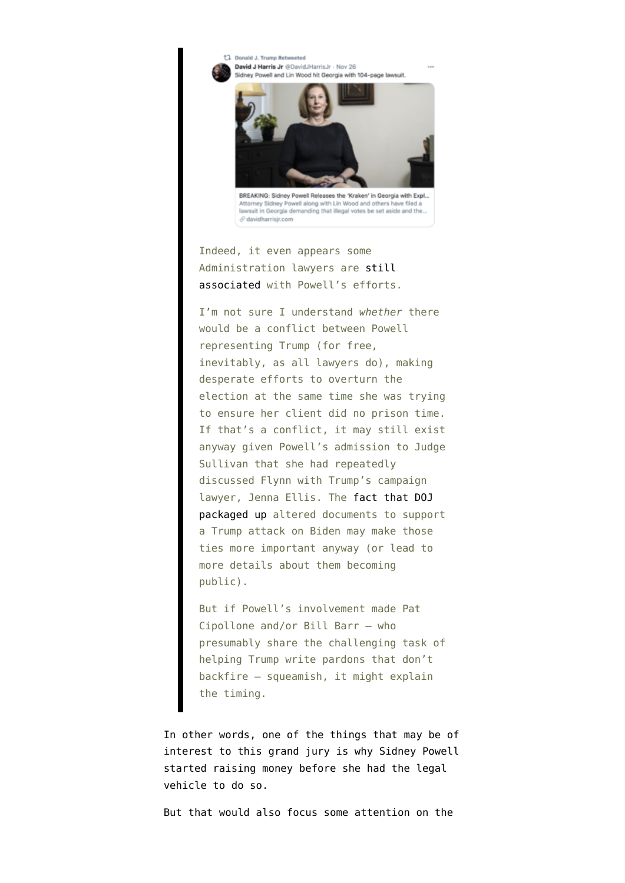<sup>17</sup> Donald J. Trumn Retweeted David J Harris Jr @DavidJHarrisJr - Nov 26 Sidney Powell and Lin Wood hit Georgia with 104-page lawsuit.



Attorney Sidney Powell along with Lin Wood and others have filed a lawsuit in Georgia demanding that illegal votes be set aside and the..  $\mathcal O$  davidharrisir.com

Indeed, it even appears some Administration lawyers are [still](https://twitter.com/alanfeuer/status/1332342045516697603) [associated](https://twitter.com/alanfeuer/status/1332342045516697603) with Powell's efforts.

I'm not sure I understand *whether* there would be a conflict between Powell representing Trump (for free, inevitably, as all lawyers do), making desperate efforts to overturn the election at the same time she was trying to ensure her client did no prison time. If that's a conflict, it may still exist anyway given Powell's admission to Judge Sullivan that she had repeatedly discussed Flynn with Trump's campaign lawyer, Jenna Ellis. The [fact that DOJ](https://www.emptywheel.net/2020/10/01/over-72-hours-trump-and-chuck-grassley-provide-emmet-sullivan-proof-that-peter-strzoks-notes-were-altered-for-political-reasons/) [packaged up](https://www.emptywheel.net/2020/10/01/over-72-hours-trump-and-chuck-grassley-provide-emmet-sullivan-proof-that-peter-strzoks-notes-were-altered-for-political-reasons/) altered documents to support a Trump attack on Biden may make those ties more important anyway (or lead to more details about them becoming public).

But if Powell's involvement made Pat Cipollone and/or Bill Barr — who presumably share the challenging task of helping Trump write pardons that don't backfire — squeamish, it might explain the timing.

In other words, one of the things that may be of interest to this grand jury is why Sidney Powell started raising money before she had the legal vehicle to do so.

But that would also focus some attention on the